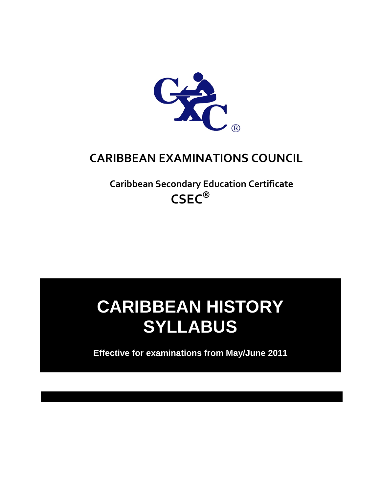

### **CARIBBEAN EXAMINATIONS COUNCIL**

**Caribbean Secondary Education Certificate CSEC**

## **CARIBBEAN HISTORY SYLLABUS**

**Effective for examinations from May/June 2011**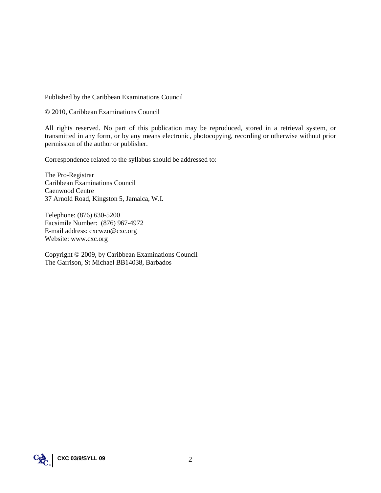Published by the Caribbean Examinations Council

© 2010, Caribbean Examinations Council

All rights reserved. No part of this publication may be reproduced, stored in a retrieval system, or transmitted in any form, or by any means electronic, photocopying, recording or otherwise without prior permission of the author or publisher.

Correspondence related to the syllabus should be addressed to:

The Pro-Registrar Caribbean Examinations Council Caenwood Centre 37 Arnold Road, Kingston 5, Jamaica, W.I.

Telephone: (876) 630-5200 Facsimile Number: (876) 967-4972 E-mail address: cxcwzo@cxc.org Website: www.cxc.org

Copyright © 2009, by Caribbean Examinations Council The Garrison, St Michael BB14038, Barbados

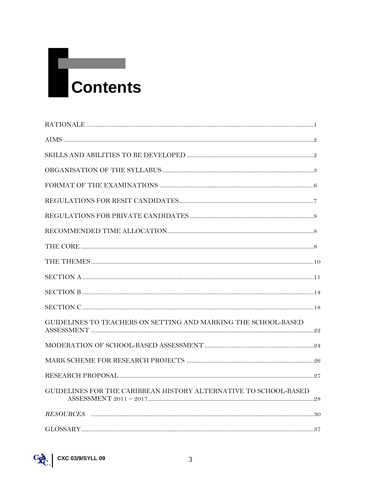# **Contents**

| GUIDELINES TO TEACHERS ON SETTING AND MARKING THE SCHOOL-BASED   |  |
|------------------------------------------------------------------|--|
|                                                                  |  |
|                                                                  |  |
|                                                                  |  |
| GUIDELINES FOR THE CARIBBEAN HISTORY ALTERNATIVE TO SCHOOL-BASED |  |
|                                                                  |  |
|                                                                  |  |

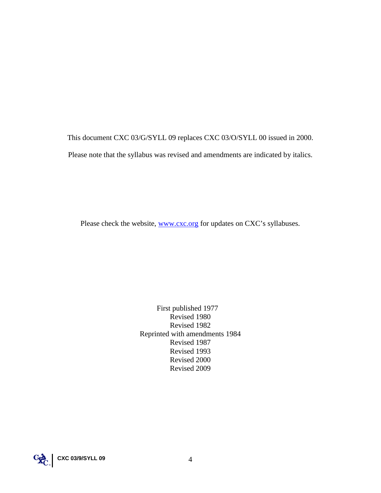This document CXC 03/G/SYLL 09 replaces CXC 03/O/SYLL 00 issued in 2000.

Please note that the syllabus was revised and amendments are indicated by italics.

Please check the website, [www.cxc.org](http://www.cxc.org/) for updates on CXC's syllabuses.

First published 1977 Revised 1980 Revised 1982 Reprinted with amendments 1984 Revised 1987 Revised 1993 Revised 2000 Revised 2009

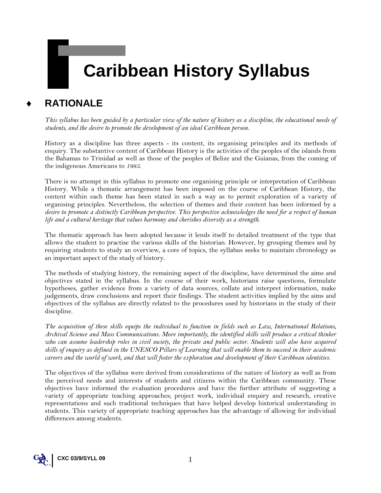# **Caribbean History Syllabus**

### **RATIONALE**

*This syllabus has been guided by a particular view of the nature of history as a discipline, the educational needs of students, and the desire to promote the development of an ideal Caribbean person.*

History as a discipline has three aspects - its content, its organising principles and its methods of enquiry. The substantive content of Caribbean History is the activities of the peoples of the islands from the Bahamas to Trinidad as well as those of the peoples of Belize and the Guianas, from the coming of the indigenous Americans to *1985*.

There is no attempt in this syllabus to promote one organising principle or interpretation of Caribbean History. While a thematic arrangement has been imposed on the course of Caribbean History, the content within each theme has been stated in such a way as to permit exploration of a variety of organising principles. Nevertheless, the selection of themes and their content has been informed by a *desire to promote a distinctly Caribbean perspective. This perspective acknowledges the need for a respect of human life and a cultural heritage that values harmony and cherishes diversity as a strength*.

The thematic approach has been adopted because it lends itself to detailed treatment of the type that allows the student to practise the various skills of the historian. However, by grouping themes and by requiring students to study an overview, a core of topics, the syllabus seeks to maintain chronology as an important aspect of the study of history.

The methods of studying history, the remaining aspect of the discipline, have determined the aims and objectives stated in the syllabus. In the course of their work, historians raise questions, formulate hypotheses, gather evidence from a variety of data sources, collate and interpret information, make judgements, draw conclusions and report their findings. The student activities implied by the aims and objectives of the syllabus are directly related to the procedures used by historians in the study of their discipline.

*The acquisition of these skills equips the individual to function in fields such as Law, International Relations, Archival Science and Mass Communications. More importantly, the identified skills will produce a critical thinker who can assume leadership roles in civil society, the private and public sector. Students will also have acquired skills of enquiry as defined in the UNESCO Pillars of Learning that will enable them to succeed in their academic careers and the world of work, and that will foster the exploration and development of their Caribbean identities.*

The objectives of the syllabus were derived from considerations of the nature of history as well as from the perceived needs and interests of students and citizens within the Caribbean community. These objectives have informed the evaluation procedures and have the further attribute of suggesting a variety of appropriate teaching approaches; project work, individual enquiry and research, creative representations and such traditional techniques that have helped develop historical understanding in students. This variety of appropriate teaching approaches has the advantage of allowing for individual differences among students.

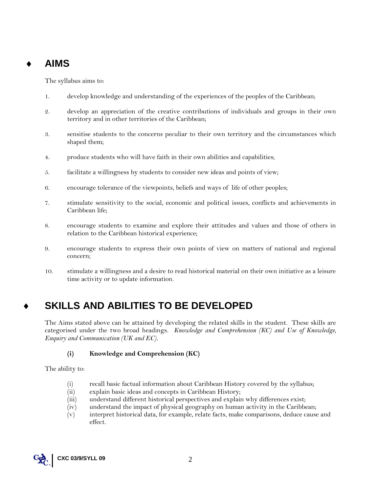### ♦ **AIMS**

The syllabus aims to:

- 1. develop knowledge and understanding of the experiences of the peoples of the Caribbean;
- 2. develop an appreciation of the creative contributions of individuals and groups in their own territory and in other territories of the Caribbean;
- 3. sensitise students to the concerns peculiar to their own territory and the circumstances which shaped them;
- 4. produce students who will have faith in their own abilities and capabilities;
- 5. facilitate a willingness by students to consider new ideas and points of view;
- 6. encourage tolerance of the viewpoints, beliefs and ways of life of other peoples;
- 7. stimulate sensitivity to the social, economic and political issues, conflicts and achievements in Caribbean life;
- 8. encourage students to examine and explore their attitudes and values and those of others in relation to the Caribbean historical experience;
- 9. encourage students to express their own points of view on matters of national and regional concern;
- 10. stimulate a willingness and a desire to read historical material on their own initiative as a leisure time activity or to update information.

### **SKILLS AND ABILITIES TO BE DEVELOPED**

The Aims stated above can be attained by developing the related skills in the student. These skills are categorised under the two broad headings. *Knowledge and Comprehension (KC) and Use of Knowledge, Enquiry and Communication (UK and EC).*

### **(i) Knowledge and Comprehension (KC)**

The ability to:

- (i) recall basic factual information about Caribbean History covered by the syllabus;
- (ii) explain basic ideas and concepts in Caribbean History;
- (iii) understand different historical perspectives and explain why differences exist;
- (iv) understand the impact of physical geography on human activity in the Caribbean;
- (v) interpret historical data, for example, relate facts, make comparisons, deduce cause and effect.

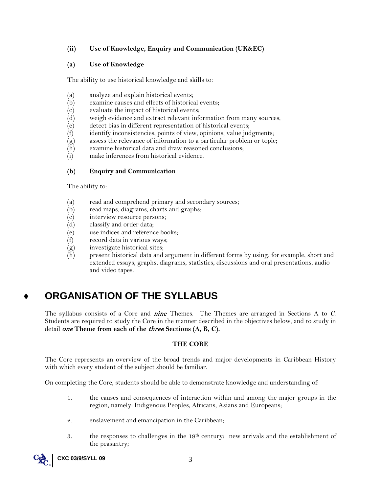### **(ii) Use of Knowledge, Enquiry and Communication (UK&EC)**

### **(a) Use of Knowledge**

The ability to use historical knowledge and skills to:

- (a) analyze and explain historical events;
- (b) examine causes and effects of historical events;
- (c) evaluate the impact of historical events;
- (d) weigh evidence and extract relevant information from many sources;
- (e) detect bias in different representation of historical events;
- (f) identify inconsistencies, points of view, opinions, value judgments;
- (g) assess the relevance of information to a particular problem or topic;
- (h) examine historical data and draw reasoned conclusions;
- (i) make inferences from historical evidence.

### **(b) Enquiry and Communication**

The ability to:

- (a) read and comprehend primary and secondary sources;
- (b) read maps, diagrams, charts and graphs;
- (c) interview resource persons;
- (d) classify and order data;
- (e) use indices and reference books;<br>(f) record data in various ways;
- record data in various ways;
- (g) investigate historical sites;
- (h) present historical data and argument in different forms by using, for example, short and extended essays, graphs, diagrams, statistics, discussions and oral presentations, audio and video tapes.

### **ORGANISATION OF THE SYLLABUS**

The syllabus consists of a Core and nine Themes. The Themes are arranged in Sections A to *C*. Students are required to study the Core in the manner described in the objectives below, and to study in detail one **Theme from each of the** three **Sections (A, B, C).**

### **THE CORE**

The Core represents an overview of the broad trends and major developments in Caribbean History with which every student of the subject should be familiar.

On completing the Core, students should be able to demonstrate knowledge and understanding of:

- 1. the causes and consequences of interaction within and among the major groups in the region, namely: Indigenous Peoples, Africans, Asians and Europeans;
- 2. enslavement and emancipation in the Caribbean;
- 3. the responses to challenges in the 19th century: new arrivals and the establishment of the peasantry;

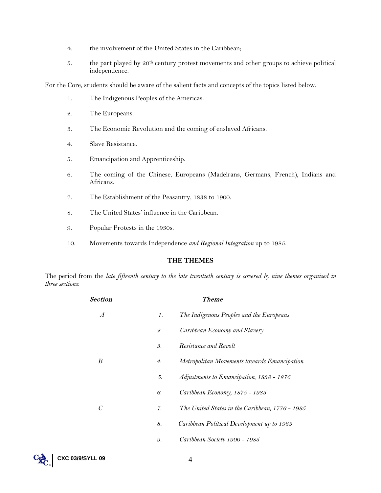- 4. the involvement of the United States in the Caribbean;
- 5. the part played by 20<sup>th</sup> century protest movements and other groups to achieve political independence.

For the Core, students should be aware of the salient facts and concepts of the topics listed below.

- 1. The Indigenous Peoples of the Americas.
- 2. The Europeans.
- 3. The Economic Revolution and the coming of enslaved Africans.
- 4. Slave Resistance.
- 5. Emancipation and Apprenticeship.
- 6. The coming of the Chinese, Europeans (Madeirans, Germans, French), Indians and Africans.
- 7. The Establishment of the Peasantry, 1838 to 1900.
- 8. The United States' influence in the Caribbean.
- 9. Popular Protests in the 1930s.
- 10. Movements towards Independence *and Regional Integration* up to 1985.

### **THE THEMES**

The period from the *late fifteenth century to the late twentieth century is covered by nine themes organised in three sections:*

| Section       |                          | Theme                                           |
|---------------|--------------------------|-------------------------------------------------|
| $\mathcal{A}$ | $\mathcal{I}$ .          | The Indigenous Peoples and the Europeans        |
|               | $\mathfrak{\mathcal{D}}$ | Caribbean Economy and Slavery                   |
|               | 3.                       | Resistance and Revolt                           |
| B             | 4.                       | Metropolitan Movements towards Emancipation     |
|               | 5.                       | Adjustments to Emancipation, 1838 - 1876        |
|               | 6.                       | Caribbean Economy, 1875 - 1985                  |
| C             | 7.                       | The United States in the Caribbean, 1776 - 1985 |
|               | 8.                       | Caribbean Political Development up to 1985      |
|               | 9.                       | Caribbean Society 1900 - 1985                   |

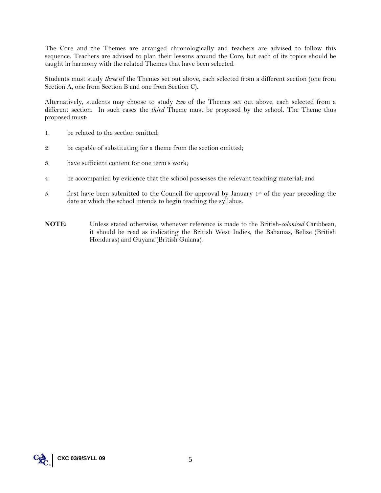The Core and the Themes are arranged chronologically and teachers are advised to follow this sequence. Teachers are advised to plan their lessons around the Core, but each of its topics should be taught in harmony with the related Themes that have been selected.

Students must study *three* of the Themes set out above, each selected from a different section (one from Section A, one from Section B and one from Section C).

Alternatively, students may choose to study *two* of the Themes set out above, each selected from a different section. In such cases the *third* Theme must be proposed by the school. The Theme thus proposed must:

- 1. be related to the section omitted;
- 2. be capable of substituting for a theme from the section omitted;
- 3. have sufficient content for one term's work;
- 4. be accompanied by evidence that the school possesses the relevant teaching material; and
- 5. first have been submitted to the Council for approval by January 1st of the year preceding the date at which the school intends to begin teaching the syllabus.
- **NOTE:** Unless stated otherwise, whenever reference is made to the British-*colonised* Caribbean, it should be read as indicating the British West Indies, the Bahamas, Belize (British Honduras) and Guyana (British Guiana).

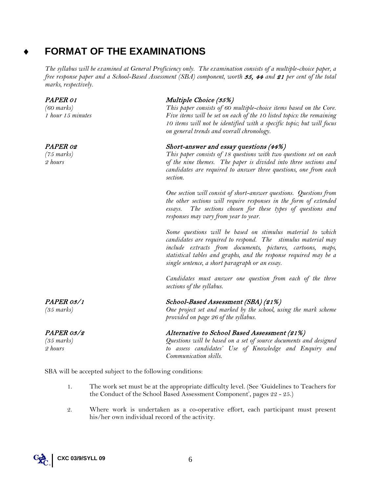### **FORMAT OF THE EXAMINATIONS**

*The syllabus will be examined at General Proficiency only. The examination consists of a multiple-choice paper, a free response paper and a School-Based Assessment (SBA) component, worth 35, 44 and 21 per cent of the total marks, respectively.*

#### PAPER 01 *(60 marks) 1 hour 15 minutes* Multiple Choice (35%) *This paper consists of 60 multiple-choice items based on the Core. Five items will be set on each of the 10 listed topics: the remaining 10 items will not be identified with a specific topic; but will focus on general trends and overall chronology.* PAPER 02 *(75 marks) 2 hours*  Short-answer and essay questions (44%) *This paper consists of 18 questions with two questions set on each of the nine themes. The paper is divided into three sections and candidates are required to answer three questions, one from each section. One section will consist of short-answer questions. Questions from the other sections will require responses in the form of extended essays. The sections chosen for these types of questions and responses may vary from year to year. Some questions will be based on stimulus material to which candidates are required to respond. The stimulus material may include extracts from documents, pictures, cartoons, maps, statistical tables and graphs, and the response required may be a single sentence, a short paragraph or an essay. Candidates must answer one question from each of the three sections of the syllabus.*  PAPER 03/1 *(35 marks)* School-Based Assessment (SBA) (21%) *One project set and marked by the school, using the mark scheme provided on page 26 of the syllabus.* PAPER 03/2 Alternative to School Based Assessment (21%)

*(35 marks) 2 hours*

*Questions will be based on a set of source documents and designed to assess candidates' Use of Knowledge and Enquiry and Communication skills.*

SBA will be accepted subject to the following conditions:

- 1. The work set must be at the appropriate difficulty level. (See 'Guidelines to Teachers for the Conduct of the School Based Assessment Component', pages 22 - 25.)
- 2. Where work is undertaken as a co-operative effort, each participant must present his/her own individual record of the activity.

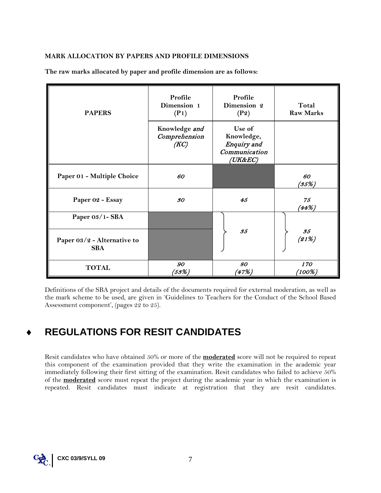### **MARK ALLOCATION BY PAPERS AND PROFILE DIMENSIONS**

| <b>PAPERS</b>                             | Profile<br>Dimension 1<br>(P1)         | Profile<br>Dimension 2<br>(P <sub>2</sub> )                            | Total<br><b>Raw Marks</b>         |
|-------------------------------------------|----------------------------------------|------------------------------------------------------------------------|-----------------------------------|
|                                           | Knowledge and<br>Comprehension<br>(KC) | Use of<br>Knowledge,<br><b>Enquiry</b> and<br>Communication<br>(UK&EC) |                                   |
| Paper 01 - Multiple Choice                | 60                                     |                                                                        | 60<br>(35%)                       |
| Paper 02 - Essay                          | 30                                     | 45                                                                     | 75<br>(44%)                       |
| Paper 03/1-SBA                            |                                        |                                                                        |                                   |
| Paper 03/2 - Alternative to<br><b>SBA</b> |                                        | 35                                                                     | $\mathcal{S}\mathcal{S}$<br>(21%) |
| <b>TOTAL</b>                              | 90<br>(53%)                            | 80<br>47%)                                                             | 170<br>(100%)                     |

**The raw marks allocated by paper and profile dimension are as follows:**

Definitions of the SBA project and details of the documents required for external moderation, as well as the mark scheme to be used, are given in 'Guidelines to Teachers for the Conduct of the School Based Assessment component', (pages 22 to 25).

### **REGULATIONS FOR RESIT CANDIDATES**

Resit candidates who have obtained 50% or more of the **moderated** score will not be required to repeat this component of the examination provided that they write the examination in the academic year immediately following their first sitting of the examination. Resit candidates who failed to achieve 50% of the **moderated** score must repeat the project during the academic year in which the examination is repeated. Resit candidates must indicate at registration that they are resit candidates.

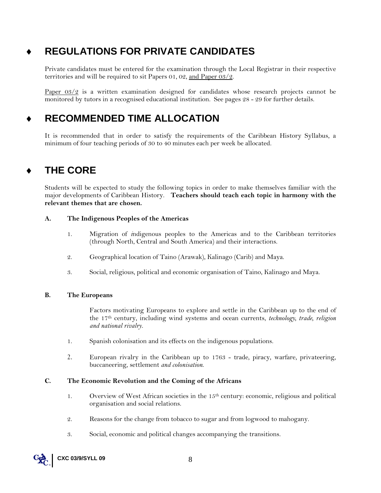### ♦ **REGULATIONS FOR PRIVATE CANDIDATES**

Private candidates must be entered for the examination through the Local Registrar in their respective territories and will be required to sit Papers 01, 02, and Paper 03/2.

Paper 03/2 is a written examination designed for candidates whose research projects cannot be monitored by tutors in a recognised educational institution. See pages 28 - 29 for further details.

### **RECOMMENDED TIME ALLOCATION**

It is recommended that in order to satisfy the requirements of the Caribbean History Syllabus, a minimum of four teaching periods of 30 to 40 minutes each per week be allocated.

### **THE CORE**

Students will be expected to study the following topics in order to make themselves familiar with the major developments of Caribbean History. **Teachers should teach each topic in harmony with the relevant themes that are chosen.**

### **A. The Indigenous Peoples of the Americas**

- 1. Migration of *i*ndigenous peoples to the Americas and to the Caribbean territories (through North, Central and South America) and their interactions.
- 2. Geographical location of Taino (Arawak), Kalinago (Carib) and Maya.
- 3. Social, religious, political and economic organisation of Taino, Kalinago and Maya.

### **B. The Europeans**

Factors motivating Europeans to explore and settle in the Caribbean up to the end of the 17th century, including wind systems and ocean currents, *technology, trade, religion and national rivalry.*

- 1. Spanish colonisation and its effects on the indigenous populations.
- 2. European rivalry in the Caribbean up to 1763 trade, piracy, warfare, privateering, buccaneering, settlement *and colonisation*.

### **C. The Economic Revolution and the Coming of the Africans**

- 1. Overview of West African societies in the 15th century: economic, religious and political organisation and social relations.
- 2. Reasons for the change from tobacco to sugar and from logwood to mahogany.
- 3. Social, economic and political changes accompanying the transitions.

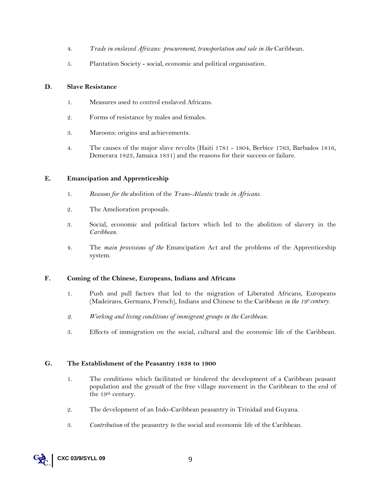- 4. *Trade in enslaved Africans: procurement, transportation and sale in the* Caribbean.
- 5. Plantation Society social, economic and political organisation.

### **D. Slave Resistance**

- 1. Measures used to control enslaved Africans.
- 2. Forms of resistance by males and females.
- 3. Maroons: origins and achievements.
- 4. The causes of the major slave revolts (Haiti 1781 1804, Berbice 1763, Barbados 1816, Demerara 1823, Jamaica 1831) and the reasons for their success or failure.

### **E. Emancipation and Apprenticeship**

- 1. *Reasons for the* abolition of the *Trans-Atlantic* trade *in Africans*.
- 2. The Amelioration proposals.
- 3. Social, economic and political factors which led to the abolition of slavery in the *Caribbean.*
- 4. The *main provisions of the* Emancipation Act and the problems of the Apprenticeship system.

### **F. Coming of the Chinese, Europeans, Indians and Africans**

- 1. Push and pull factors that led to the migration of Liberated Africans, Europeans (Madeirans, Germans, French), Indians and Chinese to the Caribbean *in the 19<sup>th</sup> century*.
- *2. Working and living conditions of immigrant groups in the Caribbean.*
- 3. Effects of immigration on the social, cultural and the economic life of the Caribbean.

### **G. The Establishment of the Peasantry 1838 to 1900**

- 1. The conditions which facilitated or hindered the development of a Caribbean peasant population and the g*rowth* of the free village movement in the Caribbean to the end of the 19<sup>th</sup> century.
- 2. The development of an Indo*-*Caribbean peasantry in Trinidad and Guyana.
- 3. *Contribution* of the peasantry *to* the social and economic life of the Caribbean.

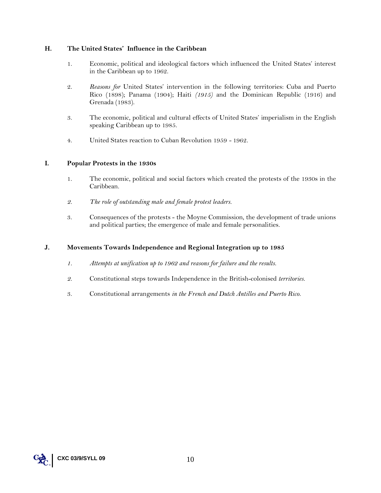### **H. The United States' Influence in the Caribbean**

- 1. Economic, political and ideological factors which influenced the United States' interest in the Caribbean up to 1962.
- 2. *Reasons for* United States' intervention in the following territories: Cuba and Puerto Rico (1898); Panama (1904); Haiti *(1915)* and the Dominican Republic (1916) and Grenada (1983).
- 3. The economic, political and cultural effects of United States' imperialism in the English speaking Caribbean up to 1985.
- 4. United States reaction to Cuban Revolution 1959 *-* 1962.

#### **I. Popular Protests in the 1930s**

- 1. The economic, political and social factors which created the protests of the 1930s in the Caribbean.
- *2. The role of outstanding male and female protest leaders.*
- 3. Consequences of the protests the Moyne Commission, the development of trade unions and political parties; the emergence of male and female personalities.

#### **J. Movements Towards Independence and Regional Integration up to 1985**

- *1. Attempts at unification up to 1962 and reasons for failure and the results.*
- *2.* Constitutional steps towards Independence in the British-colonised *territories.*
- 3. Constitutional arrangements *in the French and Dutch Antilles and Puerto Rico.*

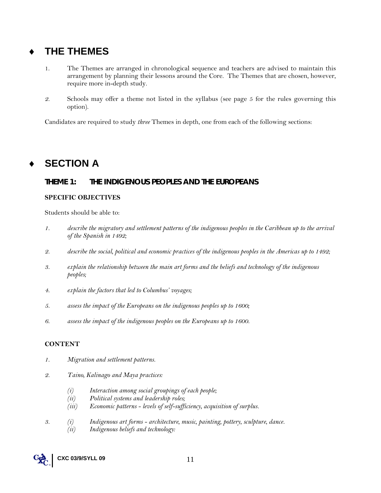### **THE THEMES**

- 1. The Themes are arranged in chronological sequence and teachers are advised to maintain this arrangement by planning their lessons around the Core. The Themes that are chosen, however, require more in-depth study.
- *2.* Schools may offer a theme not listed in the syllabus (see page 5 for the rules governing this option).

Candidates are required to study *three* Themes in depth, one from each of the following sections:

### ♦ **SECTION A**

### **THEME 1: THE INDIGENOUS PEOPLES AND THE EUROPEANS**

### **SPECIFIC OBJECTIVES**

Students should be able to:

- *1. describe the migratory and settlement patterns of the indigenous peoples in the Caribbean up to the arrival of the Spanish in 1492;*
- *2. describe the social, political and economic practices of the indigenous peoples in the Americas up to 1492;*
- *3. explain the relationship between the main art forms and the beliefs and technology of the indigenous peoples;*
- *4. explain the factors that led to Columbus' voyages;*
- *5. assess the impact of the Europeans on the indigenous peoples up to 1600;*
- *6. assess the impact of the indigenous peoples on the Europeans up to 1600.*

### **CONTENT**

- *1. Migration and settlement patterns.*
- *2. Taino, Kalinago and Maya practices:*
	- *(i) Interaction among social groupings of each people;*
	- *(ii) Political systems and leadership roles;*
	- *(iii) Economic patterns - levels of self-sufficiency, acquisition of surplus.*
- *3. (i) Indigenous art forms - architecture, music, painting, pottery, sculpture, dance. (ii) Indigenous beliefs and technology:*

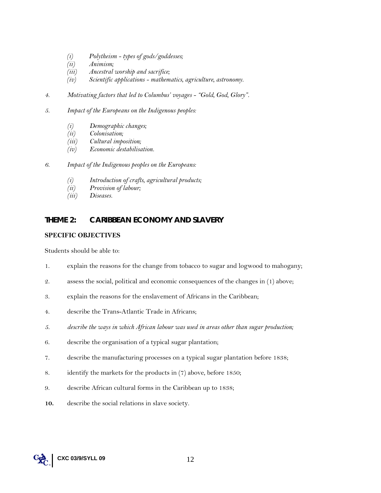- *(i) Polytheism - types of gods/goddesses;*
- *(ii) Animism;*
- *(iii) Ancestral worship and sacrifice;*
- *(iv) Scientific applications - mathematics, agriculture, astronomy.*
- *4. Motivating factors that led to Columbus' voyages - "Gold, God, Glory".*
- *5. Impact of the Europeans on the Indigenous peoples:*
	- *(i) Demographic changes;*
	- *(ii) Colonisation;*
	- *(iii) Cultural imposition;*
	- *(iv) Economic destabilisation.*
- *6. Impact of the Indigenous peoples on the Europeans:*
	- *(i) Introduction of crafts, agricultural products;*
	- *(ii) Provision of labour;*
	- *(iii) Diseases.*

### **THEME 2: CARIBBEAN ECONOMY AND SLAVERY**

#### **SPECIFIC OBJECTIVES**

- 1. explain the reasons for the change from tobacco to sugar and logwood to mahogany;
- 2. assess the social, political and economic consequences of the changes in (1) above;
- 3. explain the reasons for the enslavement of Africans in the Caribbean;
- 4. describe the Trans-Atlantic Trade in Africans;
- *5. describe the ways in which African labour was used in areas other than sugar production;*
- 6. describe the organisation of a typical sugar plantation;
- 7. describe the manufacturing processes on a typical sugar plantation before 1838;
- 8. identify the markets for the products in (7) above, before 1850;
- 9. describe African cultural forms in the Caribbean up to 1838;
- **10.** describe the social relations in slave society.

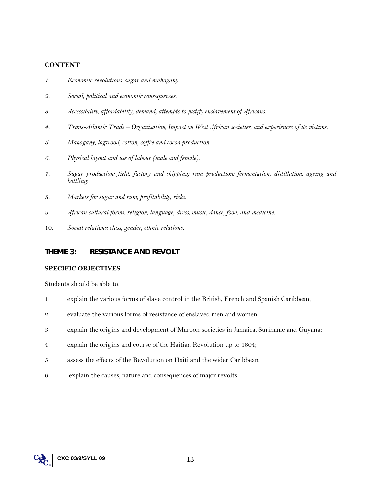- *1. Economic revolutions: sugar and mahogany.*
- *2. Social, political and economic consequences.*
- *3. Accessibility, affordability, demand, attempts to justify enslavement of Africans.*
- *4. Trans-Atlantic Trade – Organisation, Impact on West African societies, and experiences of its victims.*
- *5. Mahogany, logwood, cotton, coffee and cocoa production.*
- *6. Physical layout and use of labour (male and female).*
- *7. Sugar production: field, factory and shipping; rum production: fermentation, distillation, ageing and bottling.*
- *8. Markets for sugar and rum; profitability, risks.*
- *9. African cultural forms: religion, language, dress, music, dance, food, and medicine.*
- 10. *Social relations: class, gender, ethnic relations.*

### **THEME 3: RESISTANCE AND REVOLT**

#### **SPECIFIC OBJECTIVES**

- 1. explain the various forms of slave control in the British, French and Spanish Caribbean;
- 2. evaluate the various forms of resistance of enslaved men and women;
- 3. explain the origins and development of Maroon societies in Jamaica, Suriname and Guyana;
- 4. explain the origins and course of the Haitian Revolution up to 1804;
- 5. assess the effects of the Revolution on Haiti and the wider Caribbean;
- 6. explain the causes*,* nature and consequences of major revolts.

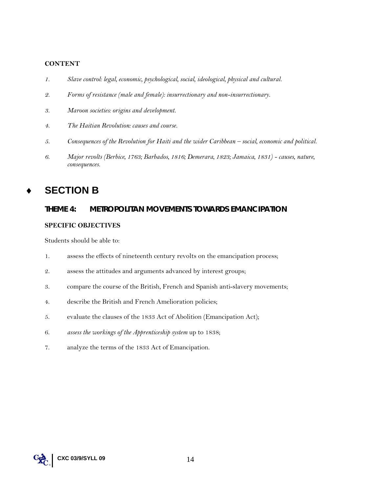- *1. Slave control: legal, economic, psychological, social, ideological, physical and cultural.*
- *2. Forms of resistance (male and female): insurrectionary and non-insurrectionary.*
- *3. Maroon societies: origins and development.*
- *4. The Haitian Revolution: causes and course.*
- *5. Consequences of the Revolution for Haiti and the wider Caribbean – social, economic and political.*
- *6. Major revolts (Berbice, 1763; Barbados, 1816; Demerara, 1823; Jamaica, 1831) - causes, nature, consequences.*

### **SECTION B**

### **THEME 4:** *METROPOLITAN MOVEMENTS TOWARDS EMANCIPATION*

#### **SPECIFIC OBJECTIVES**

- 1. assess the effects of nineteenth century revolts on the emancipation process;
- 2. assess the attitudes and arguments advanced by interest groups;
- 3. compare the course of the British, French and Spanish anti-slavery movements;
- 4. describe the British and French Amelioration policies;
- 5. evaluate the clauses of the 1833 Act of Abolition (Emancipation Act);
- 6. *assess the workings of the Apprenticeship system* up to 1838;
- 7. analyze the terms of the 1833 Act of Emancipation.

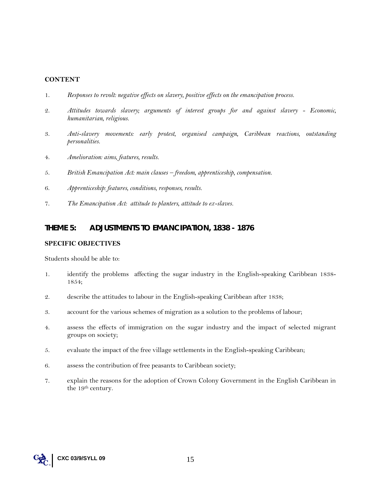- 1. *Responses to revolt: negative effects on slavery, positive effects on the emancipation process.*
- 2. *Attitudes towards slavery; arguments of interest groups for and against slavery - Economic, humanitarian, religious.*
- 3. *Anti-slavery movements: early protest, organised campaign, Caribbean reactions, outstanding personalities.*
- 4. *Amelioration: aims, features, results.*
- 5. *British Emancipation Act: main clauses – freedom, apprenticeship, compensation.*
- 6. *Apprenticeship: features, conditions, responses, results.*
- 7. *The Emancipation Act: attitude to planters, attitude to ex-slaves.*

#### **THEME 5: ADJUSTMENTS TO EMANCIPATION, 1838 - 1876**

#### **SPECIFIC OBJECTIVES**

- 1. identify the problems affecting the sugar industry in the English-speaking Caribbean 1838- 1854;
- 2. describe the attitudes to labour in the English-speaking Caribbean after 1838;
- 3. account for the various schemes of migration as a solution to the problems of labour;
- 4. assess the effects of immigration on the sugar industry and the impact of selected migrant groups on society;
- 5. evaluate the impact of the free village settlements in the English-speaking Caribbean;
- 6. assess the contribution of free peasants to Caribbean society;
- 7. explain the reasons for the adoption of Crown Colony Government in the English Caribbean in the 19<sup>th</sup> century.

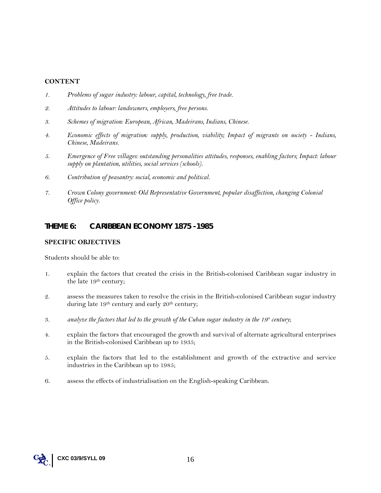- *1. Problems of sugar industry: labour, capital, technology, free trade.*
- *2. Attitudes to labour: landowners, employers, free persons.*
- *3. Schemes of migration: European, African, Madeirans, Indians, Chinese.*
- *4. Economic effects of migration: supply, production, viability; Impact of migrants on society - Indians, Chinese, Madeirans.*
- *5. Emergence of Free villages: outstanding personalities attitudes, responses, enabling factors; Impact: labour supply on plantation, utilities, social services (schools).*
- *6. Contribution of peasantry: social, economic and political.*
- *7. Crown Colony government: Old Representative Government, popular disaffection, changing Colonial Office policy.*

### **THEME 6:** *CARIBBEAN ECONOMY* **1875 -1985**

#### **SPECIFIC OBJECTIVES**

- 1. explain the factors that created the crisis in the British-colonised Caribbean sugar industry in the late 19<sup>th</sup> century;
- 2. assess the measures taken to resolve the crisis in the British-colonised Caribbean sugar industry during late 19<sup>th</sup> century and early 20<sup>th</sup> century;
- 3. *analyze the factors that led to the growth of the Cuban sugar industry in the 19<sup>th</sup> century*;
- 4. explain the factors that encouraged the growth and survival of alternate agricultural enterprises in the British-colonised Caribbean up to 1935;
- 5. explain the factors that led to the establishment and growth of the extractive and service industries in the Caribbean up to 1985;
- 6. assess the effects of industrialisation on the English-speaking Caribbean.

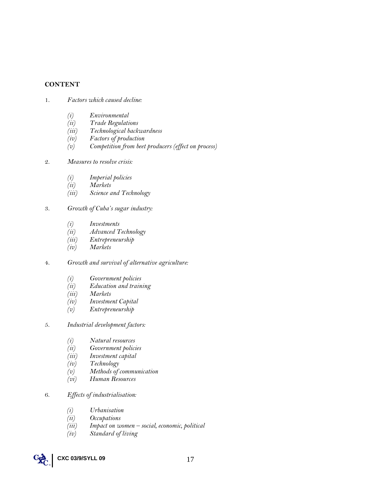- 1. *Factors which caused decline:* 
	- *(i) Environmental*
	- *(ii) Trade Regulations*
	- *(iii) Technological backwardness*
	- *(iv) Factors of production*
	- *(v) Competition from beet producers (effect on process)*
- 2. *Measures to resolve crisis:*
	- *(i) Imperial policies*
	- *(ii) Markets*
	- *(iii) Science and Technology*
- 3. *Growth of Cuba's sugar industry:*
	- *(i) Investments*
	- *(ii) Advanced Technology*
	- *(iii) Entrepreneurship*
	- *(iv) Markets*
- 4. *Growth and survival of alternative agriculture:*
	- *(i) Government policies*
	- *(ii) Education and training*
	- *(iii) Markets*
	- *(iv) Investment Capital*
	- *(v) Entrepreneurship*
- 5. *Industrial development factors:*
	- *(i) Natural resources*
	- *(ii) Government policies*
	- *(iii) Investment capital*
	- *(iv) Technology*
	- *(v) Methods of communication*
	- *(vi) Human Resources*
- 6. *Effects of industrialisation:*
	- *(i) Urbanisation*
	- *(ii) Occupations*
	- *(iii) Impact on women – social, economic, political*
	- *(iv) Standard of living*

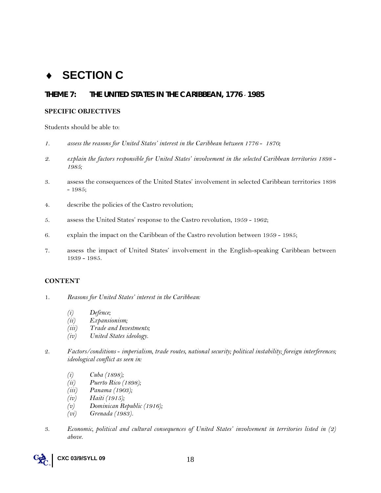### **SECTION C**

### **THEME 7: THE UNITED STATES IN THE CARIBBEAN, 1776 - 1985**

### **SPECIFIC OBJECTIVES**

Students should be able to:

- 1. *assess the reasons for United States' interest in the Caribbean between 1776 1870;*
- *2. explain the factors responsible for United States' involvement in the selected Caribbean territories 1898 1985;*
- 3. assess the consequences of the United States' involvement in selected Caribbean territories 1898 - 1985;
- 4. describe the policies of the Castro revolution;
- 5. assess the United States' response to the Castro revolution, 1959 1962;
- 6. explain the impact on the Caribbean of the Castro revolution between 1959 1985;
- 7. assess the impact of United States' involvement in the English-speaking Caribbean between 1939 - 1985.

### **CONTENT**

- 1. *Reasons for United States' interest in the Caribbean:*
	- *(i) Defence;*
	- *(ii) Expansionism;*
	- *(iii) Trade and Investments;*
	- *(iv) United States ideology.*
- 2. *Factors/conditions imperialism, trade routes, national security; political instability; foreign interferences; ideological conflict as seen in:* 
	- *(i) Cuba (1898);*
	- *(ii) Puerto Rico (1898);*
	- *(iii) Panama (1903);*
	- *(iv) Haiti (1915);*
	- *(v) Dominican Republic (1916);*
	- *(vi) Grenada (1983).*
- 3. *Economic, political and cultural consequences of United States' involvement in territories listed in (2) above.*

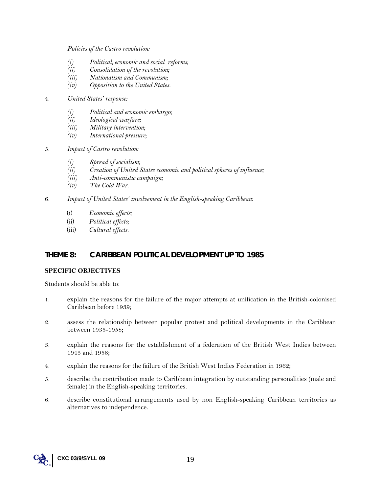#### *Policies of the Castro revolution:*

- *(i) Political, economic and social reforms;*
- *(ii) Consolidation of the revolution;*
- *(iii) Nationalism and Communism;*
- *(iv) Opposition to the United States.*

### 4. *United States' response:*

- *(i) Political and economic embargo;*
- *(ii) Ideological warfare;*
- *(iii) Military intervention;*
- *(iv) International pressure;*
- 5. *Impact of Castro revolution:*
	- *(i) Spread of socialism;*
	- *(ii) Creation of United States economic and political spheres of influence;*
	- *(iii) Anti-communistic campaign;*
	- *(iv) The Cold War.*
- 6. *Impact of United States' involvement in the English-speaking Caribbean:*
	- (i) *Economic effects;*
	- (ii) *Political effects;*
	- (iii) *Cultural effects.*

### **THEME 8:** *CARIBBEAN POLITICAL DEVELOPMENT UP TO 1985*

### **SPECIFIC OBJECTIVES**

- 1. explain the reasons for the failure of the major attempts at unification in the British-colonised Caribbean before 1939;
- 2. assess the relationship between popular protest and political developments in the Caribbean between 1935-1958;
- 3. explain the reasons for the establishment of a federation of the British West Indies between 1945 and 1958;
- 4. explain the reasons for the failure of the British West Indies Federation in 1962;
- 5. describe the contribution made to Caribbean integration by outstanding personalities (male and female) in the English-speaking territories.
- 6. describe constitutional arrangements used by non English-speaking Caribbean territories as alternatives to independence.

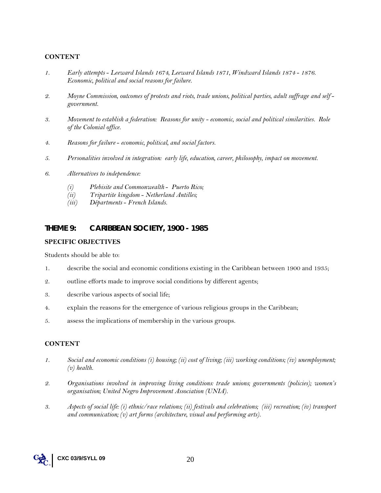- *1. Early attempts Leeward Islands 1674, Leeward Islands 1871, Windward Islands 1874 1876. Economic, political and social reasons for failure.*
- *2. Moyne Commission, outcomes of protests and riots, trade unions, political parties, adult suffrage and self government.*
- *3. Movement to establish a federation: Reasons for unity - economic, social and political similarities. Role of the Colonial office.*
- *4. Reasons for failure economic, political, and social factors.*
- *5. Personalities involved in integration: early life, education, career, philosophy, impact on movement.*
- *6. Alternatives to independence:*
	- *(i) Plebisite and Commonwealth Puerto Rico;*
	- *(ii) Tripartite kingdom Netherland Antilles;*
	- *(iii) Départments French Islands.*

### **THEME 9: CARIBBEAN SOCIETY, 1900 - 1985**

#### **SPECIFIC OBJECTIVES**

Students should be able to:

- 1. describe the social and economic conditions existing in the Caribbean between 1900 and 1935;
- 2. outline efforts made to improve social conditions by different agents;
- 3. describe various aspects of social life;
- 4. explain the reasons for the emergence of various religious groups in the Caribbean;
- 5. assess the implications of membership in the various groups.

### **CONTENT**

- *1. Social and economic conditions (i) housing; (ii) cost of living; (iii) working conditions; (iv) unemployment; (v) health.*
- *2. Organisations involved in improving living conditions: trade unions; governments (policies); women's organisation; United Negro Improvement Association (UNIA).*
- *3. Aspects of social life: (i) ethnic/race relations; (ii) festivals and celebrations; (iii) recreation; (iv) transport and communication; (v) art forms (architecture, visual and performing arts).*

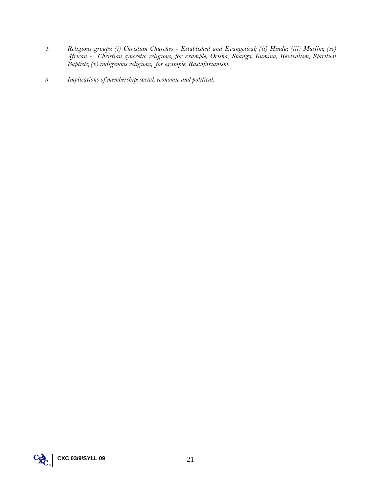- *4. Religious groups: (i) Christian Churches - Established and Evangelical; (ii) Hindu; (iii) Muslim; (iv) African* - *Christian syncretic religions, for example, Orisha, Shango; Kumina, Revivalism, Spiritual Baptists; (v) indigenous religions, for example, Rastafarianism.*
- 5. *Implications of membership: social, economic and political*.

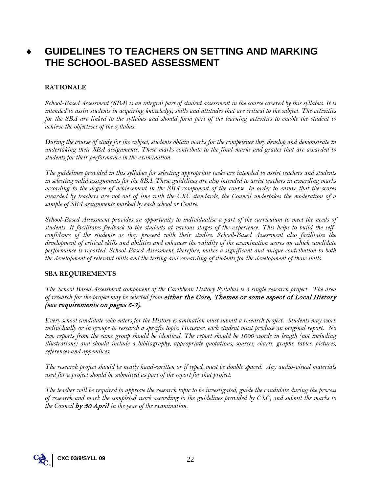### ♦ **GUIDELINES TO TEACHERS ON SETTING AND MARKING THE SCHOOL-BASED ASSESSMENT**

### **RATIONALE**

*School-Based Assessment (SBA) is an integral part of student assessment in the course covered by this syllabus. It is intended to assist students in acquiring knowledge, skills and attitudes that are critical to the subject. The activities for the SBA are linked to the syllabus and should form part of the learning activities to enable the student to achieve the objectives of the syllabus.*

*During the course of study for the subject, students obtain marks for the competence they develop and demonstrate in undertaking their SBA assignments. These marks contribute to the final marks and grades that are awarded to students for their performance in the examination.*

*The guidelines provided in this syllabus for selecting appropriate tasks are intended to assist teachers and students in selecting valid assignments for the SBA. These guidelines are also intended to assist teachers in awarding marks according to the degree of achievement in the SBA component of the course. In order to ensure that the scores awarded by teachers are not out of line with the CXC standards, the Council undertakes the moderation of a sample of SBA assignments marked by each school or Centre.*

*School-Based Assessment provides an opportunity to individualise a part of the curriculum to meet the needs of students. It facilitates feedback to the students at various stages of the experience. This helps to build the selfconfidence of the students as they proceed with their studies. School-Based Assessment also facilitates the development of critical skills and abilities and enhances the validity of the examination scores on which candidate performance is reported. School-Based Assessment, therefore, makes a significant and unique contribution to both the development of relevant skills and the testing and rewarding of students for the development of those skills.*

### **SBA REQUIREMENTS**

*The School Based Assessment component of the Caribbean History Syllabus is a single research project. The area of research for the projectmay be selected from* either the Core, Themes or some aspect of Local History (see requirements on pages 6-7).

*Every school candidate who enters for the History examination must submit a research project. Students may work individually or in groups to research a specific topic. However, each student must produce an original report. No two reports from the same group should be identical. The report should be 1000 words in length (not including illustrations) and should include a bibliography, appropriate quotations, sources, charts, graphs, tables, pictures, references and appendices.*

*The research project should be neatly hand-written or if typed, must be double spaced. Any audio-visual materials used for a project should be submitted as part of the report for that project.*

*The teacher will be required to approve the research topic to be investigated, guide the candidate during the process of research and mark the completed work according to the guidelines provided by CXC, and submit the marks to the Council* by 30 April *in the year of the examination.* 

**CXC 03/9/SYLL 09** 22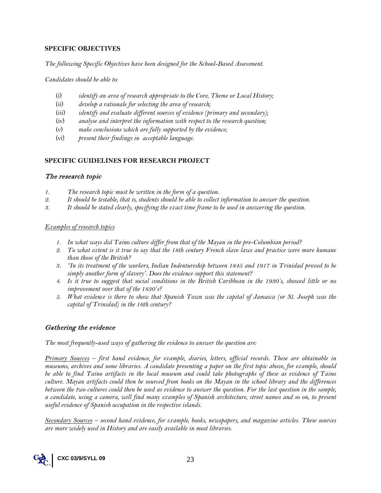### **SPECIFIC OBJECTIVES**

*The following Specific Objectives have been designed for the School-Based Assessment.*

*Candidates should be able to:*

- (i) *identify an area of research appropriate to the Core, Theme or Local History;*
- (ii) *develop a rationale for selecting the area of research;*
- (iii) *identify and evaluate different sources of evidence (primary and secondary);*
- (iv) *analyse and interpret the information with respect to the research question;*
- (v) *make conclusions which are fully supported by the evidence;*
- (vi) *present their findings in acceptable language.*

### **SPECIFIC GUIDELINES FOR RESEARCH PROJECT**

### The research topic

- *1. The research topic must be written in the form of a question.*
- *2. It should be testable, that is, students should be able to collect information to answer the question.*
- *3. It should be stated clearly, specifying the exact time frame to be used in answering the question.*

#### *Examples of research topics*

- *1. In what ways did Taino culture differ from that of the Mayan in the pre-Columbian period?*
- *2. To what extent is it true to say that the 18th century French slave laws and practice were more humane than those of the British?*
- *3. "In its treatment of the workers, Indian Indentureship between 1845 and 1917 in Trinidad proved to be simply another form of slavery'. Does the evidence support this statement?*
- *4. Is it true to suggest that social conditions in the British Caribbean in the 1930's, showed little or no improvement over that of the 1830's?*
- *5. What evidence is there to show that Spanish Town was the capital of Jamaica (or St. Joseph was the capital of Trinidad) in the 16th century?*

### Gathering the evidence

*The most frequently-used ways of gathering the evidence to answer the question are:* 

*Primary Sources – first hand evidence, for example, diaries, letters, official records. These are obtainable in museums, archives and some libraries. A candidate presenting a paper on the first topic above, for example, should be able to find Taino artifacts in the local museum and could take photographs of these as evidence of Taino culture. Mayan artifacts could then be sourced from books on the Mayan in the school library and the differences between the two cultures could then be used as evidence to answer the question. For the last question in the sample, a candidate, using a camera, will find many examples of Spanish architecture, street names and so on, to present useful evidence of Spanish occupation in the respective islands.*

*Secondary Sources – second hand evidence, for example, books, newspapers, and magazine articles. These sources are more widely used in History and are easily available in most libraries.*

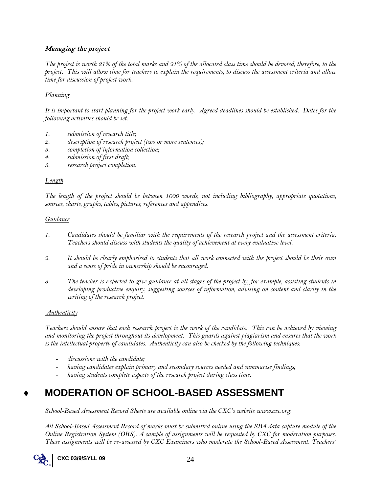### Managing the project

*The project is worth 21% of the total marks and 21% of the allocated class time should be devoted, therefore, to the project. This will allow time for teachers to explain the requirements, to discuss the assessment criteria and allow time for discussion of project work.*

### *Planning*

*It is important to start planning for the project work early. Agreed deadlines should be established. Dates for the following activities should be set.*

- *1. submission of research title;*
- *2. description of research project (two or more sentences);*
- *3. completion of information collection;*
- *4. submission of first draft;*
- *5. research project completion.*

### *Length*

*The length of the project should be between 1000 words, not including bibliography, appropriate quotations, sources, charts, graphs, tables, pictures, references and appendices.*

### *Guidance*

- *1. Candidates should be familiar with the requirements of the research project and the assessment criteria. Teachers should discuss with students the quality of achievement at every evaluative level.*
- *2. It should be clearly emphasised to students that all work connected with the project should be their own and a sense of pride in ownership should be encouraged.*
- *3. The teacher is expected to give guidance at all stages of the project by, for example, assisting students in developing productive enquiry, suggesting sources of information, advising on content and clarity in the writing of the research project.*

### *Authenticity*

*Teachers should ensure that each research project is the work of the candidate. This can be achieved by viewing and monitoring the project throughout its development. This guards against plagiarism and ensures that the work is the intellectual property of candidates. Authenticity can also be checked by the following techniques:*

- *discussions with the candidate;*
- having candidates explain primary and secondary sources needed and summarise findings;
- having students complete aspects of the research project during class time.

### ♦ **MODERATION OF SCHOOL-BASED ASSESSMENT**

*School-Based Assessment Record Sheets are available online via the CXC's website [www.cxc.org.](http://www.cxc.org/)*

*All School-Based Assessment Record of marks must be submitted online using the SBA data capture module of the Online Registration System (ORS). A sample of assignments will be requested by CXC for moderation purposes. These assignments will be re-assessed by CXC Examiners who moderate the School-Based Assessment. Teachers'* 



**CXC 03/9/SYLL 09** 24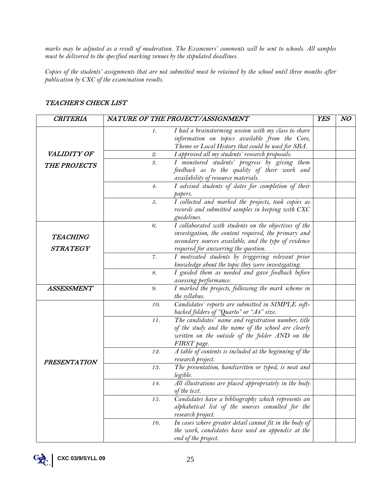*marks may be adjusted as a result of moderation. The Examiners' comments will be sent to schools. All samples must be delivered to the specified marking venues by the stipulated deadlines.*

*Copies of the students' assignments that are not submitted must be retained by the school until three months after publication by CXC of the examination results.*

| <b>CRITERIA</b>     | NATURE OF THE PROJECT/ASSIGNMENT                                                                                                                                                    | <b>YES</b> | $N$ O |
|---------------------|-------------------------------------------------------------------------------------------------------------------------------------------------------------------------------------|------------|-------|
|                     | I had a brainstorming session with my class to share<br>$\mathcal{I}$ .<br>information on topics available from the Core,<br>Theme or Local History that could be used for SBA.     |            |       |
| VALIDITY OF         | I approved all my students' research proposals.<br>2.                                                                                                                               |            |       |
| <b>THE PROJECTS</b> | I monitored students' progress by giving them<br>3.<br>feedback as to the quality of their work and<br>availability of resource materials.                                          |            |       |
|                     | I advised students of dates for completion of their<br>4.<br>papers.                                                                                                                |            |       |
|                     | I collected and marked the projects, took copies as<br>5.<br>records and submitted samples in keeping with CXC<br>guidelines.                                                       |            |       |
| <b>TEACHING</b>     | I collaborated with students on the objectives of the<br>6.<br>investigation, the content required, the primary and<br>secondary sources available, and the type of evidence        |            |       |
| <b>STRATEGY</b>     | required for answering the question.                                                                                                                                                |            |       |
|                     | I motivated students by triggering relevant prior<br>7.<br>knowledge about the topic they were investigating.                                                                       |            |       |
|                     | I guided them as needed and gave feedback before<br>8.<br>assessing performance.                                                                                                    |            |       |
| ASSESSMENT          | I marked the projects, following the mark scheme in<br>9.<br>the syllabus.                                                                                                          |            |       |
|                     | Candidates' reports are submitted in SIMPLE soft-<br>10.<br>backed folders of "Quarto" or "A4" size.                                                                                |            |       |
|                     | The candidates' name and registration number, title<br>11.<br>of the study and the name of the school are clearly<br>written on the outside of the folder AND on the<br>FIRST page. |            |       |
| PRESENTATION        | A table of contents is included at the beginning of the<br>12.<br>research project.                                                                                                 |            |       |
|                     | The presentation, handwritten or typed, is neat and<br>13.<br>legible.                                                                                                              |            |       |
|                     | All illustrations are placed appropriately in the body<br>14.<br>of the text.                                                                                                       |            |       |
|                     | Candidates have a bibliography which represents an<br>15.<br>alphabetical list of the sources consulted for the<br>research project.                                                |            |       |
|                     | In cases where greater detail cannot fit in the body of<br>16.<br>the work, candidates have used an appendix at the<br>end of the project.                                          |            |       |

### TEACHER'S CHECK LIST

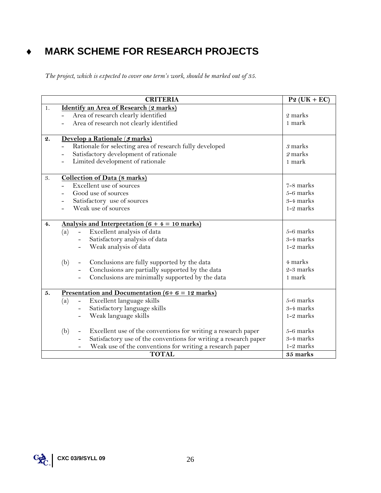### ♦ **MARK SCHEME FOR RESEARCH PROJECTS**

*The project, which is expected to cover one term's work, should be marked out of 35.*

|                | <b>CRITERIA</b>                                                                           | $P2$ (UK + EC) |
|----------------|-------------------------------------------------------------------------------------------|----------------|
| 1.             | <b>Identify an Area of Research (2 marks)</b>                                             |                |
|                | Area of research clearly identified                                                       | 2 marks        |
|                | Area of research not clearly identified                                                   | 1 mark         |
|                |                                                                                           |                |
| $\mathbf{2}$ . | Develop a Rationale (3 marks)                                                             |                |
|                | Rationale for selecting area of research fully developed                                  | 3 marks        |
|                | Satisfactory development of rationale                                                     | 2 marks        |
|                | Limited development of rationale                                                          | 1 mark         |
|                |                                                                                           |                |
| 3.             | Collection of Data (8 marks)                                                              |                |
|                | Excellent use of sources                                                                  | 7-8 marks      |
|                | Good use of sources                                                                       | 5-6 marks      |
|                | Satisfactory use of sources                                                               | 3-4 marks      |
|                | Weak use of sources                                                                       | $1-2$ marks    |
|                |                                                                                           |                |
| 4.             | Analysis and Interpretation $(6 + 4 = 10$ marks)                                          |                |
|                | Excellent analysis of data<br>(a)<br>$\overline{\phantom{a}}$                             | 5-6 marks      |
|                | Satisfactory analysis of data                                                             | 3-4 marks      |
|                | Weak analysis of data<br>$\qquad \qquad -$                                                | $1-2$ marks    |
|                |                                                                                           |                |
|                | (b)<br>Conclusions are fully supported by the data<br>$\qquad \qquad -$                   | 4 marks        |
|                | Conclusions are partially supported by the data                                           | 2-3 marks      |
|                | Conclusions are minimally supported by the data                                           | 1 mark         |
|                |                                                                                           |                |
| 5.             | Presentation and Documentation $(6+6=12$ marks)                                           |                |
|                | Excellent language skills<br>(a)<br>$\overline{\phantom{0}}$                              | 5-6 marks      |
|                | Satisfactory language skills                                                              | 3-4 marks      |
|                | Weak language skills                                                                      | $1-2$ marks    |
|                | (b)<br>Excellent use of the conventions for writing a research paper<br>$\qquad \qquad -$ | 5-6 marks      |
|                | Satisfactory use of the conventions for writing a research paper                          | 3-4 marks      |
|                | Weak use of the conventions for writing a research paper                                  | $1-2$ marks    |
|                | <b>TOTAL</b>                                                                              | 35 marks       |

**C<sub>XC</sub>** CXC 03/9/SYLL 09 26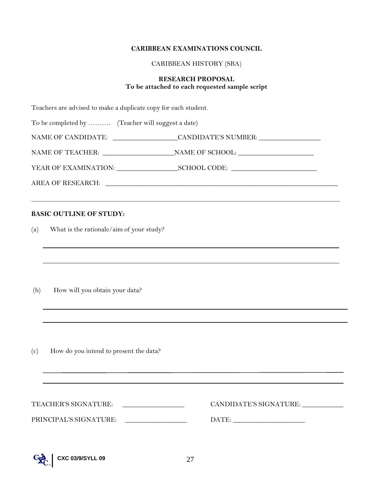### **CARIBBEAN EXAMINATIONS COUNCIL**

### CARIBBEAN HISTORY (SBA)

### **RESEARCH PROPOSAL To be attached to each requested sample script**

|     | Teachers are advised to make a duplicate copy for each student.                                                                                                                                 |                                                                                                                                                                     |  |  |
|-----|-------------------------------------------------------------------------------------------------------------------------------------------------------------------------------------------------|---------------------------------------------------------------------------------------------------------------------------------------------------------------------|--|--|
|     | To be completed by  (Teacher will suggest a date)                                                                                                                                               |                                                                                                                                                                     |  |  |
|     | NAME OF CANDIDATE: ______________________CANDIDATE'S NUMBER: ___________________                                                                                                                |                                                                                                                                                                     |  |  |
|     |                                                                                                                                                                                                 | NAME OF TEACHER: ___________________________NAME OF SCHOOL: _____________________                                                                                   |  |  |
|     |                                                                                                                                                                                                 |                                                                                                                                                                     |  |  |
|     |                                                                                                                                                                                                 |                                                                                                                                                                     |  |  |
|     | <b>BASIC OUTLINE OF STUDY:</b>                                                                                                                                                                  |                                                                                                                                                                     |  |  |
| (a) | What is the rationale/aim of your study?                                                                                                                                                        |                                                                                                                                                                     |  |  |
|     |                                                                                                                                                                                                 | ,我们也不能在这里的时候,我们也不能会在这里,我们也不能会在这里,我们也不能会在这里,我们也不能会在这里的时候,我们也不能会在这里,我们也不能会不能会不能会。<br>第2012章 我们的时候,我们的时候,我们的时候,我们的时候,我们的时候,我们的时候,我们的时候,我们的时候,我们的时候,我们的时候,我们的时候,我们的时候,我 |  |  |
| (b) | How will you obtain your data?                                                                                                                                                                  |                                                                                                                                                                     |  |  |
|     |                                                                                                                                                                                                 |                                                                                                                                                                     |  |  |
| (c) | How do you intend to present the data?                                                                                                                                                          |                                                                                                                                                                     |  |  |
|     | TEACHER'S SIGNATURE:                                                                                                                                                                            | CANDIDATE'S SIGNATURE: ___________                                                                                                                                  |  |  |
|     |                                                                                                                                                                                                 |                                                                                                                                                                     |  |  |
|     | PRINCIPAL'S SIGNATURE:<br>$\begin{tabular}{c} \bf{DATE:} \end{tabular}$<br><u> Alexandria de la contenentación de la contenentación de la contenentación de la contenentación de la contene</u> |                                                                                                                                                                     |  |  |

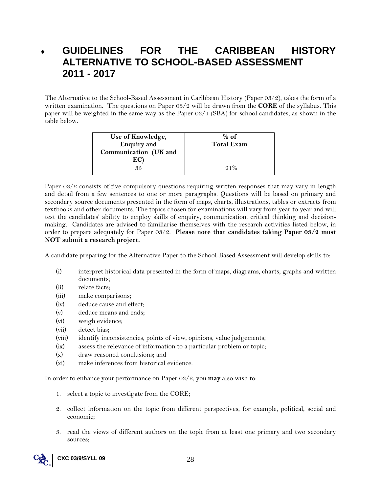### ♦ **GUIDELINES FOR THE CARIBBEAN HISTORY ALTERNATIVE TO SCHOOL-BASED ASSESSMENT 2011 - 2017**

The Alternative to the School-Based Assessment in Caribbean History (Paper 03/2), takes the form of a written examination. The questions on Paper 03/2 will be drawn from the **CORE** of the syllabus. This paper will be weighted in the same way as the Paper 03/1 (SBA) for school candidates, as shown in the table below.

| Use of Knowledge,     | $%$ of            |
|-----------------------|-------------------|
| <b>Enquiry</b> and    | <b>Total Exam</b> |
| Communication (UK and |                   |
|                       |                   |
|                       |                   |

Paper 03/2 consists of five compulsory questions requiring written responses that may vary in length and detail from a few sentences to one or more paragraphs. Questions will be based on primary and secondary source documents presented in the form of maps, charts, illustrations, tables or extracts from textbooks and other documents. The topics chosen for examinations will vary from year to year and will test the candidates' ability to employ skills of enquiry, communication, critical thinking and decisionmaking. Candidates are advised to familiarise themselves with the research activities listed below, in order to prepare adequately for Paper 03/2. **Please note that candidates taking Paper 03/2 must NOT submit a research project.**

A candidate preparing for the Alternative Paper to the School-Based Assessment will develop skills to:

- (i) interpret historical data presented in the form of maps, diagrams, charts, graphs and written documents;
- (ii) relate facts;
- (iii) make comparisons;
- (iv) deduce cause and effect;
- (v) deduce means and ends;
- (vi) weigh evidence;
- (vii) detect bias;
- (viii) identify inconsistencies, points of view, opinions, value judgements;
- (ix) assess the relevance of information to a particular problem or topic;
- (x) draw reasoned conclusions; and
- (xi) make inferences from historical evidence.

In order to enhance your performance on Paper 03/2, you **may** also wish to:

- 1. select a topic to investigate from the CORE;
- 2. collect information on the topic from different perspectives, for example, political, social and economic;
- 3. read the views of different authors on the topic from at least one primary and two secondary sources;

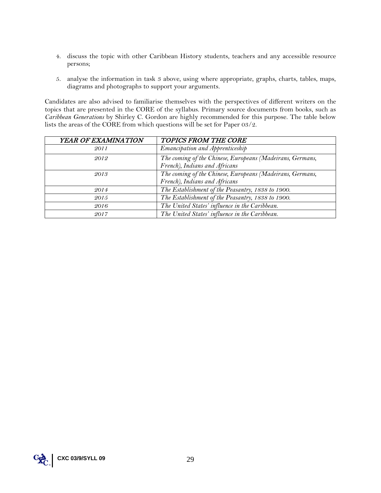- 4. discuss the topic with other Caribbean History students, teachers and any accessible resource persons;
- 5. analyse the information in task 3 above, using where appropriate, graphs, charts, tables, maps, diagrams and photographs to support your arguments.

Candidates are also advised to familiarise themselves with the perspectives of different writers on the topics that are presented in the CORE of the syllabus. Primary source documents from books, such as *Caribbean Generations* by Shirley C. Gordon are highly recommended for this purpose. The table below lists the areas of the CORE from which questions will be set for Paper 03/2.

| YEAR OF EXAMINATION | <b>TOPICS FROM THE CORE</b>                                                                |
|---------------------|--------------------------------------------------------------------------------------------|
| 2011                | Emancipation and Apprenticeship                                                            |
| 2012                | The coming of the Chinese, Europeans (Madeirans, Germans,<br>French), Indians and Africans |
| 2013                | The coming of the Chinese, Europeans (Madeirans, Germans,<br>French), Indians and Africans |
| 2014                | The Establishment of the Peasantry, 1838 to 1900.                                          |
| 2015                | The Establishment of the Peasantry, 1838 to 1900.                                          |
| 2016                | The United States' influence in the Caribbean.                                             |
| 2017                | The United States' influence in the Caribbean.                                             |

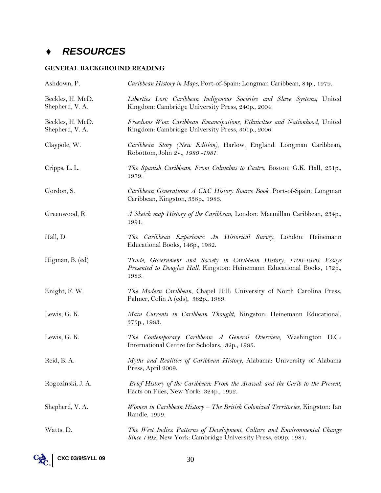### ♦ *RESOURCES*

### **GENERAL BACKGROUND READING**

| Ashdown, P.                        | Caribbean History in Maps, Port-of-Spain: Longman Caribbean, 84p., 1979.                                                                                   |
|------------------------------------|------------------------------------------------------------------------------------------------------------------------------------------------------------|
| Beckles, H. McD.<br>Shepherd, V.A. | Liberties Lost: Caribbean Indigenous Societies and Slave Systems, United<br>Kingdom: Cambridge University Press, 240p., 2004.                              |
| Beckles, H. McD.<br>Shepherd, V.A. | Freedoms Won: Caribbean Emancipations, Ethnicities and Nationhood, United<br>Kingdom: Cambridge University Press, 301p., 2006.                             |
| Claypole, W.                       | Caribbean Story (New Edition), Harlow, England: Longman Caribbean,<br>Robottom, John 2v., 1980-1981.                                                       |
| Cripps, L. L.                      | The Spanish Caribbean, From Columbus to Castro, Boston: G.K. Hall, 251p.,<br>1979.                                                                         |
| Gordon, S.                         | Caribbean Generations: A CXC History Source Book, Port-of-Spain: Longman<br>Caribbean, Kingston, 338p., 1983.                                              |
| Greenwood, R.                      | A Sketch map History of the Caribbean, London: Macmillan Caribbean, 234p.,<br>1991.                                                                        |
| Hall, D.                           | The Caribbean Experience: An Historical Survey, London: Heinemann<br>Educational Books, 146p., 1982.                                                       |
| Higman, B. (ed)                    | Trade, Government and Society in Caribbean History, 1700-1920: Essays<br>Presented to Douglas Hall, Kingston: Heinemann Educational Books, 172p.,<br>1983. |
| Knight, F. W.                      | The Modern Caribbean, Chapel Hill: University of North Carolina Press,<br>Palmer, Colin A (eds), 382p., 1989.                                              |
| Lewis, G. K.                       | Main Currents in Caribbean Thought, Kingston: Heinemann Educational,<br>375p., 1983.                                                                       |
| Lewis, G. K.                       | The Contemporary Caribbean: A General Overview, Washington D.C.:<br>International Centre for Scholars, 32p., 1985.                                         |
| Reid, B. A.                        | Myths and Realities of Caribbean History, Alabama: University of Alabama<br>Press, April 2009.                                                             |
| Rogozinski, J. A.                  | Brief History of the Caribbean: From the Arawak and the Carib to the Present,<br>Facts on Files, New York: 324p., 1992.                                    |
| Shepherd, V.A.                     | Women in Caribbean History – The British Colonized Territories, Kingston: Ian<br>Randle, 1999.                                                             |
| Watts, D.                          | The West Indies: Patterns of Development, Culture and Environmental Change<br>Since 1492, New York: Cambridge University Press, 609p. 1987.                |

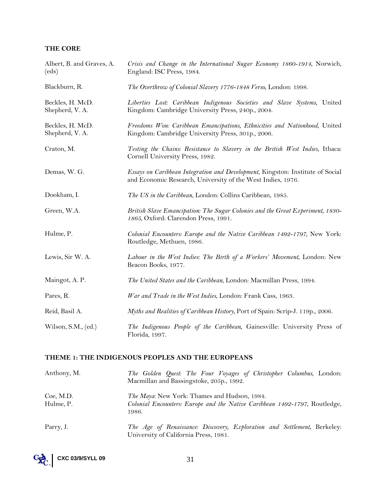### **THE CORE**

| Albert, B. and Graves, A.<br>$(\text{eds})$ | Crisis and Change in the International Sugar Economy 1860-1914, Norwich,<br>England: ISC Press, 1984.                                         |
|---------------------------------------------|-----------------------------------------------------------------------------------------------------------------------------------------------|
| Blackburn, R.                               | The Overthrow of Colonial Slavery 1776-1848 Verso, London: 1998.                                                                              |
| Beckles, H. McD.<br>Shepherd, V.A.          | Liberties Lost: Caribbean Indigenous Societies and Slave Systems, United<br>Kingdom: Cambridge University Press, 240p., 2004.                 |
| Beckles, H. McD.<br>Shepherd, V. A.         | Freedoms Won: Caribbean Emancipations, Ethnicities and Nationhood, United<br>Kingdom: Cambridge University Press, 301p., 2006.                |
| Craton, M.                                  | Testing the Chains: Resistance to Slavery in the British West Indies, Ithaca:<br>Cornell University Press, 1982.                              |
| Demas, W. G.                                | Essays on Caribbean Integration and Development, Kingston: Institute of Social<br>and Economic Research, University of the West Indies, 1976. |
| Dookham, I.                                 | The US in the Caribbean, London: Collins Caribbean, 1985.                                                                                     |
| Green, W.A.                                 | British Slave Emancipation: The Sugar Colonies and the Great Experiment, 1830-<br>1865, Oxford: Clarendon Press, 1991.                        |
| Hulme, P.                                   | Colonial Encounters: Europe and the Native Caribbean 1492-1797, New York:<br>Routledge, Methuen, 1986.                                        |
| Lewis, Sir W. A.                            | Labour in the West Indies: The Birth of a Workers' Movement, London: New<br>Beacon Books, 1977.                                               |
| Maingot, A. P.                              | The United States and the Caribbean, London: Macmillan Press, 1994.                                                                           |
| Pares, R.                                   | War and Trade in the West Indies, London: Frank Cass, 1963.                                                                                   |
| Reid, Basil A.                              | Myths and Realities of Caribbean History, Port of Spain: Scrip-J. 119p., 2006.                                                                |
| Wilson, S.M., (ed.)                         | The Indigenous People of the Caribbean, Gainesville: University Press of<br>Florida, 1997.                                                    |

### **THEME 1: THE INDIGENOUS PEOPLES AND THE EUROPEANS**

| Anthony, M.            | The Golden Quest: The Four Voyages of Christopher Columbus, London:<br>Macmillan and Bassingstoke, 205p., 1992.                     |
|------------------------|-------------------------------------------------------------------------------------------------------------------------------------|
| Coe, M.D.<br>Hulme, P. | The Maya: New York: Thames and Hudson, 1984.<br>Colonial Encounters: Europe and the Native Caribbean 1492-1797, Routledge,<br>1986. |
| Parry, J.              | The Age of Renaissance: Discovery, Exploration and Settlement, Berkeley:<br>University of California Press, 1981.                   |

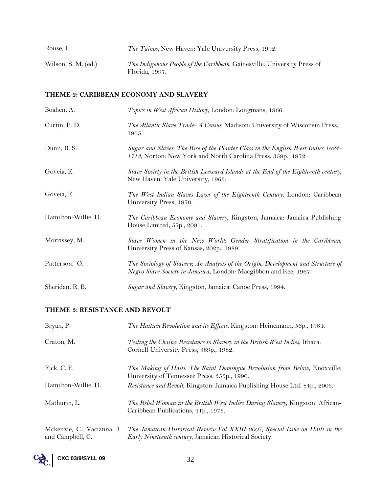| Rouse, I.           | The Tainos, New Haven: Yale University Press, 1992.                                               |
|---------------------|---------------------------------------------------------------------------------------------------|
| Wilson, S. M. (ed.) | <i>The Indigenous People of the Caribbean, Gainesville: University Press of</i><br>Florida, 1997. |

### **THEME 2: CARIBBEAN ECONOMY AND SLAVERY**

| Boahen, A.          | Topics in West African History, London: Longmans, 1966.                                                                                               |  |  |
|---------------------|-------------------------------------------------------------------------------------------------------------------------------------------------------|--|--|
| Curtin, P. D.       | The Atlantic Slave Trade- A Census, Madison: University of Wisconsin Press,<br>1965.                                                                  |  |  |
| Dunn, R. S.         | Sugar and Slaves: The Rise of the Planter Class in the English West Indies 1624-<br>1713, Norton: New York and North Carolina Press, 359p., 1972.     |  |  |
| Goveia, E.          | Slave Society in the British Leeward Islands at the End of the Eighteenth century,<br>New Haven: Yale University, 1965.                               |  |  |
| Goveia, E.          | The West Indian Slaves Laws of the Eighteenth Century, London: Caribbean<br>University Press, 1970.                                                   |  |  |
| Hamilton-Willie, D. | The Caribbean Economy and Slavery, Kingston, Jamaica: Jamaica Publishing<br>House Limited, 57p., 2001.                                                |  |  |
| Morrissey, M.       | Slave Women in the New World: Gender Stratification in the Caribbean,<br>University Press of Kansas, 202p., 1989.                                     |  |  |
| Patterson. O.       | The Sociology of Slavery, An Analysis of the Origin, Development and Structure of<br>Negro Slave Society in Jamaica, London: Macgibbon and Kee, 1967. |  |  |
| Sheridan, R. B.     | Sugar and Slavery, Kingston, Jamaica: Canoe Press, 1994.                                                                                              |  |  |

### **THEME 3: RESISTANCE AND REVOLT**

| Bryan, P.                                      | The Hattian Revolution and its Effects, Kingston: Heinemann, 56p., 1984.                                                               |
|------------------------------------------------|----------------------------------------------------------------------------------------------------------------------------------------|
| Craton, M.                                     | Testing the Chains: Resistance to Slavery in the British West Indies, Ithaca:<br>Cornell University Press, 389p., 1982.                |
| Fick, C. E.                                    | The Making of Haiti: The Saint Domingue Revolution from Below, Knoxville:<br>University of Tennessee Press, 355p., 1990.               |
| Hamilton-Willie, D.                            | <i>Resistance and Revolt, Kingston: Jamaica Publishing House Ltd. 84p., 2003.</i>                                                      |
| Mathurin, L.                                   | The Rebel Woman in the British West Indies During Slavery, Kingston: African-<br>Caribbean Publications, 41p., 1975.                   |
| Mckenzie, C., Vacianna, J.<br>and Campbell, C. | The Jamaican Historical Review Vol XXIII 2007, Special Issue on Haiti in the<br>Early Nineteenth century, Jamaican Historical Society. |

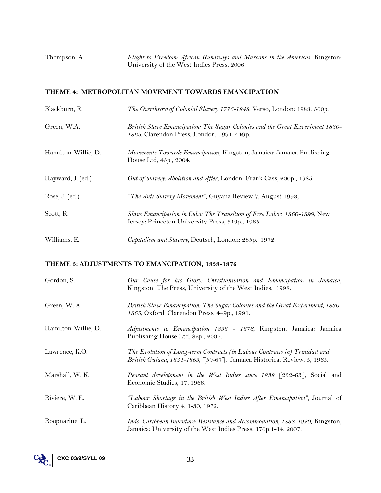| Thompson, A. | Flight to Freedom: African Runaways and Maroons in the Americas, Kingston: |  |  |
|--------------|----------------------------------------------------------------------------|--|--|
|              | University of the West Indies Press, 2006.                                 |  |  |

### **THEME 4: METROPOLITAN MOVEMENT TOWARDS EMANCIPATION**

| Blackburn, R.       | The Overthrow of Colonial Slavery 1776-1848, Verso, London: 1988. 560p.                                                      |  |  |
|---------------------|------------------------------------------------------------------------------------------------------------------------------|--|--|
| Green, W.A.         | British Slave Emancipation: The Sugar Colonies and the Great Experiment 1830–<br>1865, Clarendon Press, London, 1991. 449p.  |  |  |
| Hamilton-Willie, D. | Movements Towards Emancipation, Kingston, Jamaica: Jamaica Publishing<br>House Ltd, 45p., 2004.                              |  |  |
| Hayward, J. (ed.)   | Out of Slavery: Abolition and After, London: Frank Cass, 200p., 1985.                                                        |  |  |
| Rose, J. (ed.)      | "The Anti Slavery Movement", Guyana Review 7, August 1993,                                                                   |  |  |
| Scott, R.           | Slave Emancipation in Cuba: The Transition of Free Labor, 1860-1899, New<br>Jersey: Princeton University Press, 319p., 1985. |  |  |
| Williams, E.        | Capitalism and Slavery, Deutsch, London: 285p., 1972.                                                                        |  |  |

### **THEME 5: ADJUSTMENTS TO EMANCIPATION, 1838-1876**

| Gordon, S.          | Our Cause for his Glory: Christianisation and Emancipation in Jamaica,<br>Kingston: The Press, University of the West Indies, 1998.                   |
|---------------------|-------------------------------------------------------------------------------------------------------------------------------------------------------|
| Green, W.A.         | British Slave Emancipation: The Sugar Colonies and the Great Experiment, 1830-<br>1865, Oxford: Clarendon Press, 449p., 1991.                         |
| Hamilton-Willie, D. | Adjustments to Emancipation 1838 - 1876, Kingston, Jamaica: Jamaica<br>Publishing House Ltd, 82p., 2007.                                              |
| Lawrence, K.O.      | The Evolution of Long-term Contracts (in Labour Contracts in) Trinidad and<br>British Guiana, 1834-1863, [59-67], Jamaica Historical Review, 5, 1965. |
| Marshall, W. K.     | Peasant development in the West Indies since 1838 [252-63], Social and<br>Economic Studies, 17, 1968.                                                 |
| Riviere, W. E.      | "Labour Shortage in the British West Indies After Emancipation", Journal of<br>Caribbean History 4, 1-30, 1972.                                       |
| Roopnarine, L.      | Indo-Caribbean Indenture: Resistance and Accommodation, 1838-1920, Kingston,<br>Jamaica: University of the West Indies Press, 176p.1-14, 2007.        |

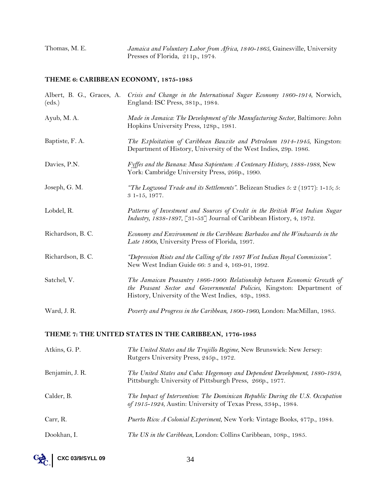Thomas, M. E. *Jamaica and Voluntary Labor from Africa, 1840-1865*, Gainesville, University Presses of Florida, 211p., 1974.

### **THEME 6: CARIBBEAN ECONOMY, 1875-1985**

| Albert, B. G., Graces, A.<br>$(\text{eds.})$ | Crisis and Change in the International Sugar Economy 1860-1914, Norwich,<br>England: ISC Press, 381p., 1984.                                                                                              |  |
|----------------------------------------------|-----------------------------------------------------------------------------------------------------------------------------------------------------------------------------------------------------------|--|
| Ayub, M. A.                                  | Made in Jamaica: The Development of the Manufacturing Sector, Baltimore: John<br>Hopkins University Press, 128p., 1981.                                                                                   |  |
| Baptiste, F. A.                              | The Exploitation of Caribbean Bauxite and Petroleum 1914-1945, Kingston:<br>Department of History, University of the West Indies, 29p. 1986.                                                              |  |
| Davies, P.N.                                 | Fyffes and the Banana: Musa Sapientum: A Centenary History, 1888-1988, New<br>York: Cambridge University Press, 266p., 1990.                                                                              |  |
| Joseph, G. M.                                | "The Logwood Trade and its Settlements". Belizean Studies 5: 2 (1977): 1-15; 5:<br>3 1-15, 1977.                                                                                                          |  |
| Lobdel, R.                                   | Patterns of Investment and Sources of Credit in the British West Indian Sugar<br>Industry, 1838-1897, [31-53] Journal of Caribbean History, 4, 1972.                                                      |  |
| Richardson, B. C.                            | Economy and Environment in the Caribbean: Barbados and the Windwards in the<br>Late 1800s, University Press of Florida, 1997.                                                                             |  |
| Richardson, B. C.                            | "Depression Riots and the Calling of the 1897 West Indian Royal Commission".<br>New West Indian Guide 66: 3 and 4, 169-91, 1992.                                                                          |  |
| Satchel, V.                                  | The Jamaican Peasantry 1866-1900: Relationship between Economic Growth of<br>the Peasant Sector and Governmental Policies, Kingston: Department of<br>History, University of the West Indies, 43p., 1983. |  |
| Ward, J. R.                                  | Poverty and Progress in the Caribbean, 1800-1960, London: MacMillan, 1985.                                                                                                                                |  |
|                                              | THEME 7: THE UNITED STATES IN THE CARIBBEAN, 1776-1985                                                                                                                                                    |  |
| Atkins, G. P.                                | The United States and the Trujillo Regime, New Brunswick: New Jersey:<br>Rutgers University Press, 245p., 1972.                                                                                           |  |
| Benjamin, J. R.                              | The United States and Cuba: Hegemony and Dependent Development, 1880-1934,<br>Pittsburgh: University of Pittsburgh Press, 266p., 1977.                                                                    |  |
| Calder, B.                                   | The Impact of Intervention: The Dominican Republic During the U.S. Occupation<br>of 1915-1924, Austin: University of Texas Press, 334p., 1984.                                                            |  |
|                                              |                                                                                                                                                                                                           |  |

Carr, R. *Puerto Rico: A Colonial Experiment*, New York: Vintage Books, 477p., 1984.

Dookhan, I. *The US in the Caribbean*, London: Collins Caribbean, 108p., 1985.

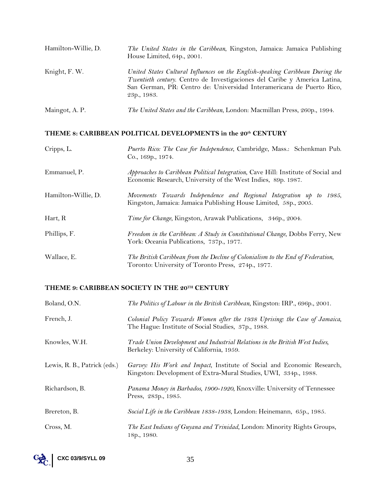| Hamilton-Willie, D. | <i>The United States in the Caribbean</i> , Kingston, Jamaica: Jamaica Publishing<br>House Limited, 64p., 2001.                                                                                                                                     |
|---------------------|-----------------------------------------------------------------------------------------------------------------------------------------------------------------------------------------------------------------------------------------------------|
| Knight, F. W.       | United States Cultural Influences on the English-speaking Caribbean During the<br>Twentieth century. Centro de Investigaciones del Caribe y America Latina,<br>San German, PR: Centro de: Universidad Interamericana de Puerto Rico,<br>23p., 1983. |
| Maingot, A. P.      | The United States and the Caribbean, London: Macmillan Press, 260p., 1994.                                                                                                                                                                          |

### **THEME 8: CARIBBEAN POLITICAL DEVELOPMENTS in the 20th CENTURY**

| Cripps, L.          | Puerto Rico: The Case for Independence, Cambridge, Mass.: Schenkman Pub.<br>Co., 169p., 1974.                                                            |  |
|---------------------|----------------------------------------------------------------------------------------------------------------------------------------------------------|--|
| Emmanuel, P.        | <i>Approaches to Caribbean Political Integration, Cave Hill: Institute of Social and</i><br>Economic Research, University of the West Indies, 89p. 1987. |  |
| Hamilton-Willie, D. | Movements Towards Independence and Regional Integration up to 1985,<br>Kingston, Jamaica: Jamaica Publishing House Limited, 58p., 2005.                  |  |
| Hart, R             | Time for Change, Kingston, Arawak Publications, 346p., 2004.                                                                                             |  |
| Phillips, F.        | Freedom in the Caribbean: A Study in Constitutional Change, Dobbs Ferry, New<br>York: Oceania Publications, 737p., 1977.                                 |  |
| Wallace, E.         | The British Caribbean from the Decline of Colonialism to the End of Federation,<br>Toronto: University of Toronto Press, 274p., 1977.                    |  |

### **THEME 9: CARIBBEAN SOCIETY IN THE 20TH CENTURY**

| Boland, O.N.                 | The Politics of Labour in the British Caribbean, Kingston: IRP., 696p., 2001.                                                              |
|------------------------------|--------------------------------------------------------------------------------------------------------------------------------------------|
| French, J.                   | Colonial Policy Towards Women after the 1938 Uprising: the Case of Jamaica,<br>The Hague: Institute of Social Studies, 37p., 1988.         |
| Knowles, W.H.                | Trade Union Development and Industrial Relations in the British West Indies,<br>Berkeley: University of California, 1959.                  |
| Lewis, R. B., Patrick (eds.) | Garvey: His Work and Impact, Institute of Social and Economic Research,<br>Kingston: Development of Extra-Mural Studies, UWI, 334p., 1988. |
| Richardson, B.               | Panama Money in Barbados, 1900-1920, Knoxville: University of Tennessee<br>Press, 283p., 1985.                                             |
| Brereton, B.                 | Social Life in the Caribbean 1838-1938, London: Heinemann, 65p., 1985.                                                                     |
| Cross, M.                    | The East Indians of Guyana and Trinidad, London: Minority Rights Groups,<br>18p., 1980.                                                    |

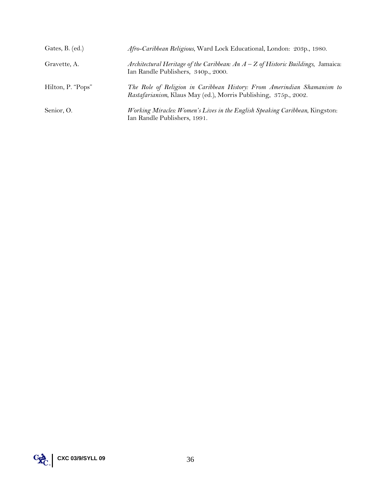| Gates, B. (ed.)   | Afro-Caribbean Religious, Ward Lock Educational, London: 203p., 1980.                                                                       |
|-------------------|---------------------------------------------------------------------------------------------------------------------------------------------|
| Gravette, A.      | Architectural Heritage of the Caribbean: $An A-Z$ of Historic Buildings, Jamaica:<br>Ian Randle Publishers, 340p., 2000.                    |
| Hilton, P. "Pops" | The Role of Religion in Caribbean History: From Amerindian Shamanism to<br>Rastafarianism, Klaus May (ed.), Morris Publishing, 375p., 2002. |
| Senior, O.        | Working Miracles: Women's Lives in the English Speaking Caribbean, Kingston:<br>Ian Randle Publishers, 1991.                                |